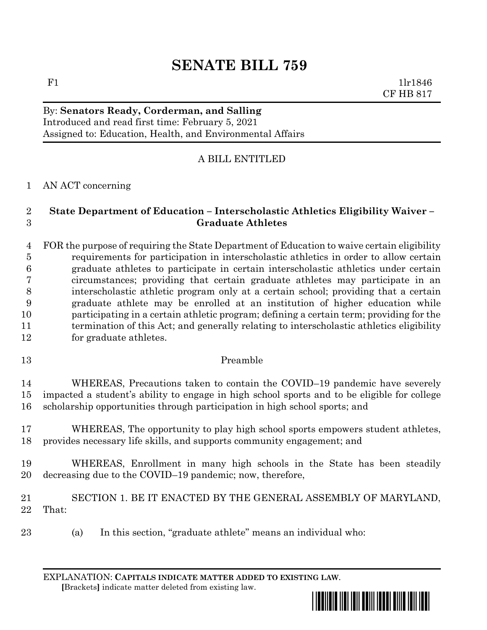# **SENATE BILL 759**

### By: **Senators Ready, Corderman, and Salling** Introduced and read first time: February 5, 2021 Assigned to: Education, Health, and Environmental Affairs

## A BILL ENTITLED

### AN ACT concerning

### **State Department of Education – Interscholastic Athletics Eligibility Waiver – Graduate Athletes**

### FOR the purpose of requiring the State Department of Education to waive certain eligibility requirements for participation in interscholastic athletics in order to allow certain graduate athletes to participate in certain interscholastic athletics under certain circumstances; providing that certain graduate athletes may participate in an interscholastic athletic program only at a certain school; providing that a certain graduate athlete may be enrolled at an institution of higher education while participating in a certain athletic program; defining a certain term; providing for the 11 termination of this Act; and generally relating to interscholastic athletics eligibility for graduate athletes.

#### Preamble

 WHEREAS, Precautions taken to contain the COVID–19 pandemic have severely impacted a student's ability to engage in high school sports and to be eligible for college scholarship opportunities through participation in high school sports; and

 WHEREAS, The opportunity to play high school sports empowers student athletes, provides necessary life skills, and supports community engagement; and

- WHEREAS, Enrollment in many high schools in the State has been steadily decreasing due to the COVID–19 pandemic; now, therefore,
- SECTION 1. BE IT ENACTED BY THE GENERAL ASSEMBLY OF MARYLAND, That:
- (a) In this section, "graduate athlete" means an individual who:

EXPLANATION: **CAPITALS INDICATE MATTER ADDED TO EXISTING LAW**.  **[**Brackets**]** indicate matter deleted from existing law.